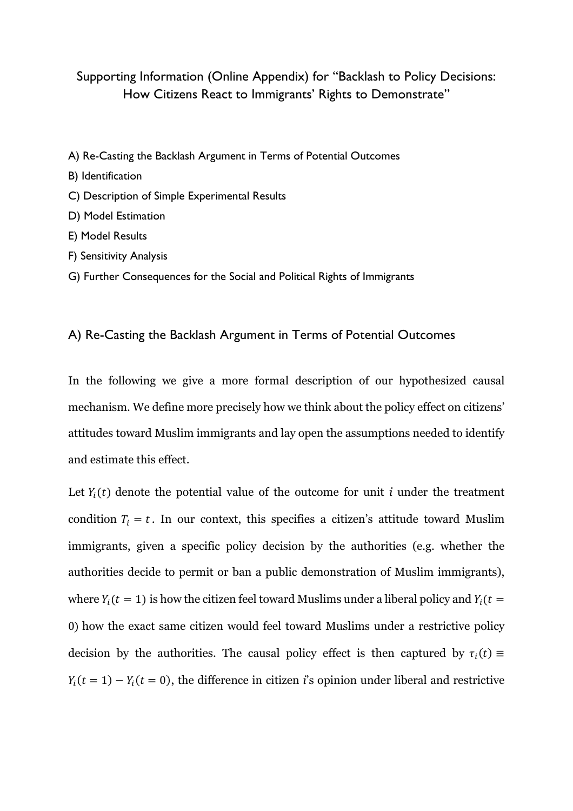## Supporting Information (Online Appendix) for "Backlash to Policy Decisions: How Citizens React to Immigrants' Rights to Demonstrate"

- A) Re-Casting the Backlash Argument in Terms of Potential Outcomes
- B) Identification
- C) Description of Simple Experimental Results
- D) Model Estimation
- E) Model Results
- F) Sensitivity Analysis
- G) Further Consequences for the Social and Political Rights of Immigrants

### A) Re-Casting the Backlash Argument in Terms of Potential Outcomes

In the following we give a more formal description of our hypothesized causal mechanism. We define more precisely how we think about the policy effect on citizens' attitudes toward Muslim immigrants and lay open the assumptions needed to identify and estimate this effect.

Let  $Y_i(t)$  denote the potential value of the outcome for unit *i* under the treatment condition  $T_i = t$ . In our context, this specifies a citizen's attitude toward Muslim immigrants, given a specific policy decision by the authorities (e.g. whether the authorities decide to permit or ban a public demonstration of Muslim immigrants), where  $Y_i(t = 1)$  is how the citizen feel toward Muslims under a liberal policy and  $Y_i(t = 1)$ 0) how the exact same citizen would feel toward Muslims under a restrictive policy decision by the authorities. The causal policy effect is then captured by  $\tau_i(t) \equiv$  $Y_i(t = 1) - Y_i(t = 0)$ , the difference in citizen *i*'s opinion under liberal and restrictive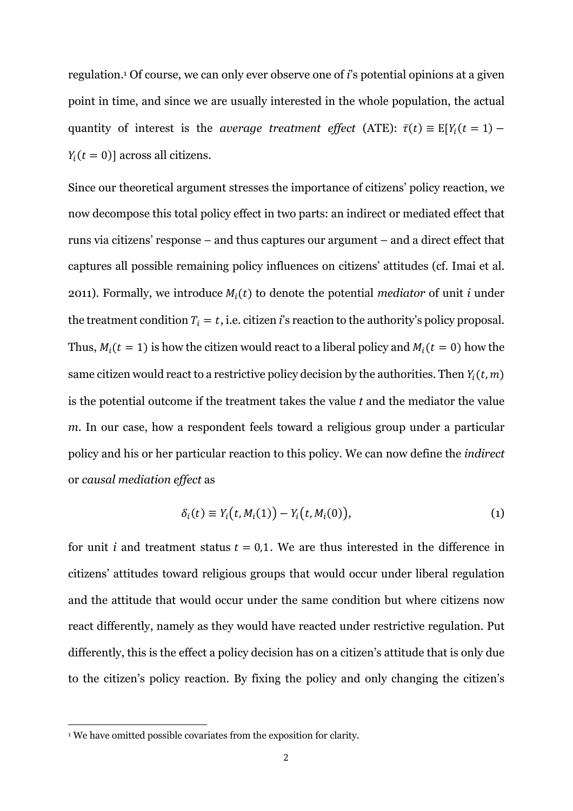regulation.1 Of course, we can only ever observe one of *i*'s potential opinions at a given point in time, and since we are usually interested in the whole population, the actual quantity of interest is the *average treatment effect* (ATE):  $\bar{\tau}(t) \equiv E[Y_i(t = 1) Y_i(t = 0)$ ] across all citizens.

Since our theoretical argument stresses the importance of citizens' policy reaction, we now decompose this total policy effect in two parts: an indirect or mediated effect that runs via citizens' response – and thus captures our argument – and a direct effect that captures all possible remaining policy influences on citizens' attitudes (cf. Imai et al. 2011). Formally, we introduce  $M_i(t)$  to denote the potential *mediator* of unit *i* under the treatment condition  $T_i = t$ , i.e. citizen *i*'s reaction to the authority's policy proposal. Thus,  $M_i(t = 1)$  is how the citizen would react to a liberal policy and  $M_i(t = 0)$  how the same citizen would react to a restrictive policy decision by the authorities. Then  $Y_i(t, m)$ is the potential outcome if the treatment takes the value *t* and the mediator the value *m*. In our case, how a respondent feels toward a religious group under a particular policy and his or her particular reaction to this policy. We can now define the *indirect* or *causal mediation effect* as

$$
\delta_i(t) \equiv Y_i(t, M_i(1)) - Y_i(t, M_i(0)), \qquad (1)
$$

for unit *i* and treatment status  $t = 0.1$ . We are thus interested in the difference in citizens' attitudes toward religious groups that would occur under liberal regulation and the attitude that would occur under the same condition but where citizens now react differently, namely as they would have reacted under restrictive regulation. Put differently, this is the effect a policy decision has on a citizen's attitude that is only due to the citizen's policy reaction. By fixing the policy and only changing the citizen's

<sup>&</sup>lt;sup>1</sup> We have omitted possible covariates from the exposition for clarity.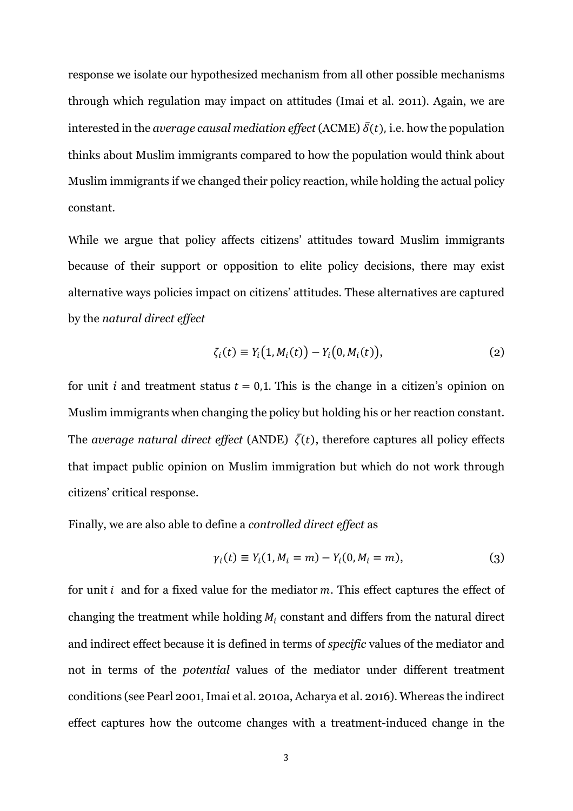response we isolate our hypothesized mechanism from all other possible mechanisms through which regulation may impact on attitudes (Imai et al. 2011). Again, we are interested in the *average causal mediation effect* (ACME)  $\bar{\delta}(t)$ , i.e. how the population thinks about Muslim immigrants compared to how the population would think about Muslim immigrants if we changed their policy reaction, while holding the actual policy constant.

While we argue that policy affects citizens' attitudes toward Muslim immigrants because of their support or opposition to elite policy decisions, there may exist alternative ways policies impact on citizens' attitudes. These alternatives are captured by the *natural direct effect*

$$
\zeta_i(t) \equiv Y_i(1, M_i(t)) - Y_i(0, M_i(t)), \qquad (2)
$$

for unit *i* and treatment status  $t = 0.1$ . This is the change in a citizen's opinion on Muslim immigrants when changing the policy but holding his or her reaction constant. The *average natural direct effect* (ANDE)  $\bar{\zeta}(t)$ , therefore captures all policy effects that impact public opinion on Muslim immigration but which do not work through citizens' critical response.

Finally, we are also able to define a *controlled direct effect* as

$$
\gamma_i(t) \equiv Y_i(1, M_i = m) - Y_i(0, M_i = m), \tag{3}
$$

for unit  $i$  and for a fixed value for the mediator  $m$ . This effect captures the effect of changing the treatment while holding  $M_i$  constant and differs from the natural direct and indirect effect because it is defined in terms of *specific* values of the mediator and not in terms of the *potential* values of the mediator under different treatment conditions (see Pearl 2001, Imai et al. 2010a, Acharya et al. 2016). Whereas the indirect effect captures how the outcome changes with a treatment-induced change in the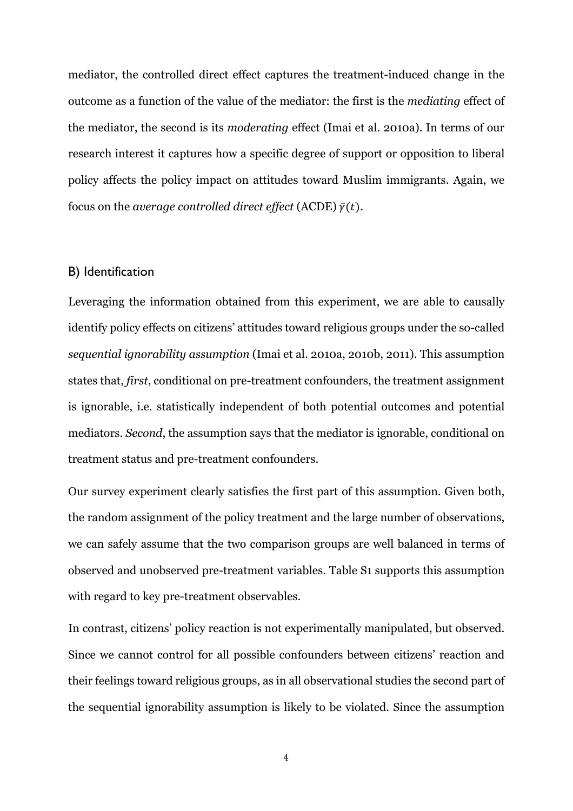mediator, the controlled direct effect captures the treatment-induced change in the outcome as a function of the value of the mediator: the first is the *mediating* effect of the mediator, the second is its *moderating* effect (Imai et al. 2010a). In terms of our research interest it captures how a specific degree of support or opposition to liberal policy affects the policy impact on attitudes toward Muslim immigrants. Again, we focus on the *average controlled direct effect* (ACDE)  $\bar{v}(t)$ .

### B) Identification

Leveraging the information obtained from this experiment, we are able to causally identify policy effects on citizens' attitudes toward religious groups under the so-called *sequential ignorability assumption* (Imai et al. 2010a, 2010b, 2011). This assumption states that, *first*, conditional on pre-treatment confounders, the treatment assignment is ignorable, i.e. statistically independent of both potential outcomes and potential mediators. *Second*, the assumption says that the mediator is ignorable, conditional on treatment status and pre-treatment confounders.

Our survey experiment clearly satisfies the first part of this assumption. Given both, the random assignment of the policy treatment and the large number of observations, we can safely assume that the two comparison groups are well balanced in terms of observed and unobserved pre-treatment variables. Table S1 supports this assumption with regard to key pre-treatment observables.

In contrast, citizens' policy reaction is not experimentally manipulated, but observed. Since we cannot control for all possible confounders between citizens' reaction and their feelings toward religious groups, as in all observational studies the second part of the sequential ignorability assumption is likely to be violated. Since the assumption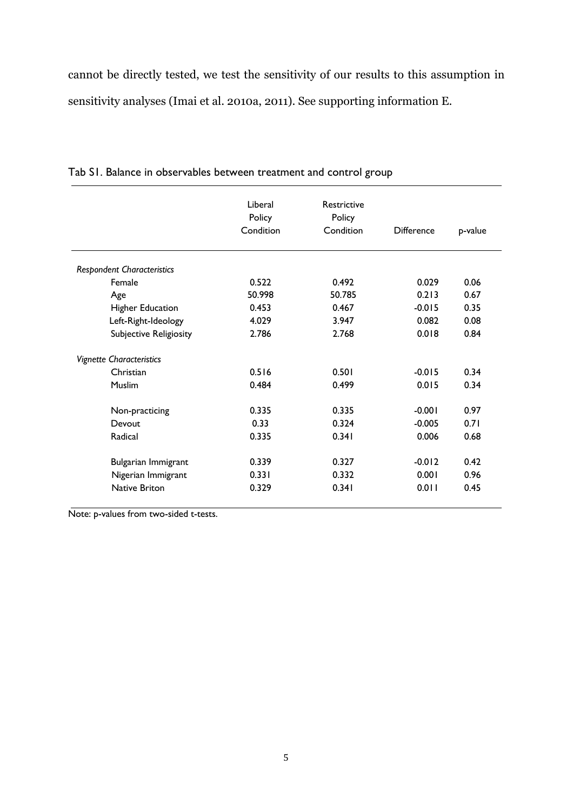cannot be directly tested, we test the sensitivity of our results to this assumption in sensitivity analyses (Imai et al. 2010a, 2011). See supporting information E.

|                                   | Liberal<br>Policy<br>Condition | <b>Restrictive</b><br>Policy<br>Condition | <b>Difference</b> | p-value |
|-----------------------------------|--------------------------------|-------------------------------------------|-------------------|---------|
| <b>Respondent Characteristics</b> |                                |                                           |                   |         |
| Female                            | 0.522                          | 0.492                                     | 0.029             | 0.06    |
| Age                               | 50.998                         | 50.785                                    | 0.213             | 0.67    |
| Higher Education                  | 0.453                          | 0.467                                     | $-0.015$          | 0.35    |
| Left-Right-Ideology               | 4.029                          | 3.947                                     | 0.082             | 0.08    |
| Subjective Religiosity            | 2.786                          | 2.768                                     | 0.018             | 0.84    |
| <b>Vignette Characteristics</b>   |                                |                                           |                   |         |
| Christian                         | 0.516                          | 0.501                                     | $-0.015$          | 0.34    |
| <b>Muslim</b>                     | 0.484                          | 0.499                                     | 0.015             | 0.34    |
| Non-practicing                    | 0.335                          | 0.335                                     | $-0.001$          | 0.97    |
| Devout                            | 0.33                           | 0.324                                     | $-0.005$          | 0.71    |
| Radical                           | 0.335                          | 0.341                                     | 0.006             | 0.68    |
| Bulgarian Immigrant               | 0.339                          | 0.327                                     | $-0.012$          | 0.42    |
| Nigerian Immigrant                | 0.331                          | 0.332                                     | 0.001             | 0.96    |
| Native Briton                     | 0.329                          | 0.341                                     | 0.011             | 0.45    |

Tab S1. Balance in observables between treatment and control group

Note: p-values from two-sided t-tests.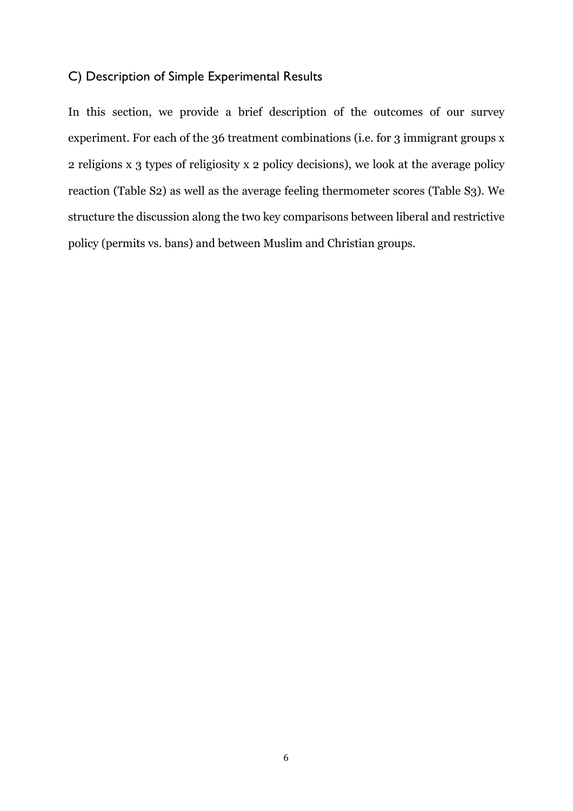## C) Description of Simple Experimental Results

In this section, we provide a brief description of the outcomes of our survey experiment. For each of the 36 treatment combinations (i.e. for 3 immigrant groups x 2 religions x 3 types of religiosity x 2 policy decisions), we look at the average policy reaction (Table S2) as well as the average feeling thermometer scores (Table S3). We structure the discussion along the two key comparisons between liberal and restrictive policy (permits vs. bans) and between Muslim and Christian groups.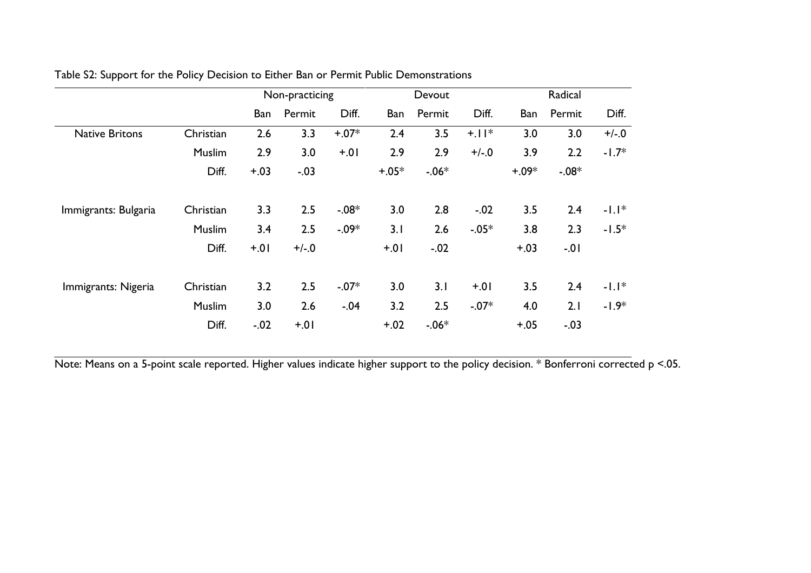|                       |           | Non-practicing |         | Devout  |         |         | Radical |         |         |         |
|-----------------------|-----------|----------------|---------|---------|---------|---------|---------|---------|---------|---------|
|                       |           | Ban            | Permit  | Diff.   | Ban     | Permit  | Diff.   | Ban     | Permit  | Diff.   |
| <b>Native Britons</b> | Christian | 2.6            | 3.3     | $+.07*$ | 2.4     | 3.5     | $+1$  * | 3.0     | 3.0     | $+/-0$  |
|                       | Muslim    | 2.9            | 3.0     | $+0$    | 2.9     | 2.9     | $+/-.0$ | 3.9     | 2.2     | $-1.7*$ |
|                       | Diff.     | $+.03$         | $-.03$  |         | $+.05*$ | $-.06*$ |         | $+0.9*$ | $-.08*$ |         |
| Immigrants: Bulgaria  | Christian | 3.3            | 2.5     | $-.08*$ | 3.0     | 2.8     | $-.02$  | 3.5     | 2.4     | $-1.1*$ |
|                       | Muslim    | 3.4            | 2.5     | $-.09*$ | 3.1     | 2.6     | $-.05*$ | 3.8     | 2.3     | $-1.5*$ |
|                       | Diff.     | $+0!$          | $+/-.0$ |         | $+.01$  | $-.02$  |         | $+.03$  | $-0.01$ |         |
| Immigrants: Nigeria   | Christian | 3.2            | 2.5     | $-.07*$ | 3.0     | 3.1     | $+0.1$  | 3.5     | 2.4     | $-1.1*$ |
|                       | Muslim    | 3.0            | 2.6     | $-.04$  | 3.2     | 2.5     | $-.07*$ | 4.0     | 2.1     | $-1.9*$ |
|                       | Diff.     | $-.02$         | $+0!$   |         | $+.02$  | $-.06*$ |         | $+.05$  | $-.03$  |         |

### Table S2: Support for the Policy Decision to Either Ban or Permit Public Demonstrations

Note: Means on a 5-point scale reported. Higher values indicate higher support to the policy decision. \* Bonferroni corrected p <.05.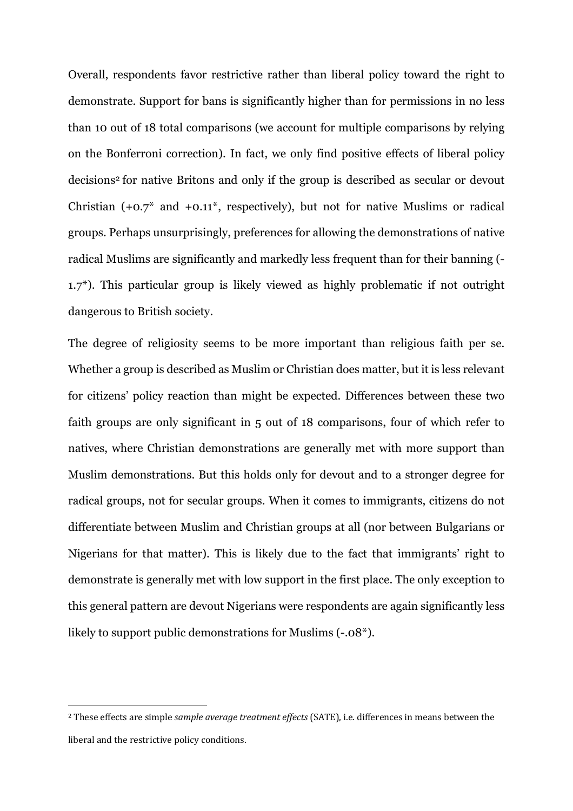Overall, respondents favor restrictive rather than liberal policy toward the right to demonstrate. Support for bans is significantly higher than for permissions in no less than 10 out of 18 total comparisons (we account for multiple comparisons by relying on the Bonferroni correction). In fact, we only find positive effects of liberal policy decisions2 for native Britons and only if the group is described as secular or devout Christian  $(+0.7^*)$  and  $+0.11^*$ , respectively), but not for native Muslims or radical groups. Perhaps unsurprisingly, preferences for allowing the demonstrations of native radical Muslims are significantly and markedly less frequent than for their banning (- 1.7\*). This particular group is likely viewed as highly problematic if not outright dangerous to British society.

The degree of religiosity seems to be more important than religious faith per se. Whether a group is described as Muslim or Christian does matter, but it is less relevant for citizens' policy reaction than might be expected. Differences between these two faith groups are only significant in 5 out of 18 comparisons, four of which refer to natives, where Christian demonstrations are generally met with more support than Muslim demonstrations. But this holds only for devout and to a stronger degree for radical groups, not for secular groups. When it comes to immigrants, citizens do not differentiate between Muslim and Christian groups at all (nor between Bulgarians or Nigerians for that matter). This is likely due to the fact that immigrants' right to demonstrate is generally met with low support in the first place. The only exception to this general pattern are devout Nigerians were respondents are again significantly less likely to support public demonstrations for Muslims (-.08\*).

<sup>&</sup>lt;sup>2</sup> These effects are simple *sample average treatment effects* (SATE), i.e. differences in means between the liberal and the restrictive policy conditions.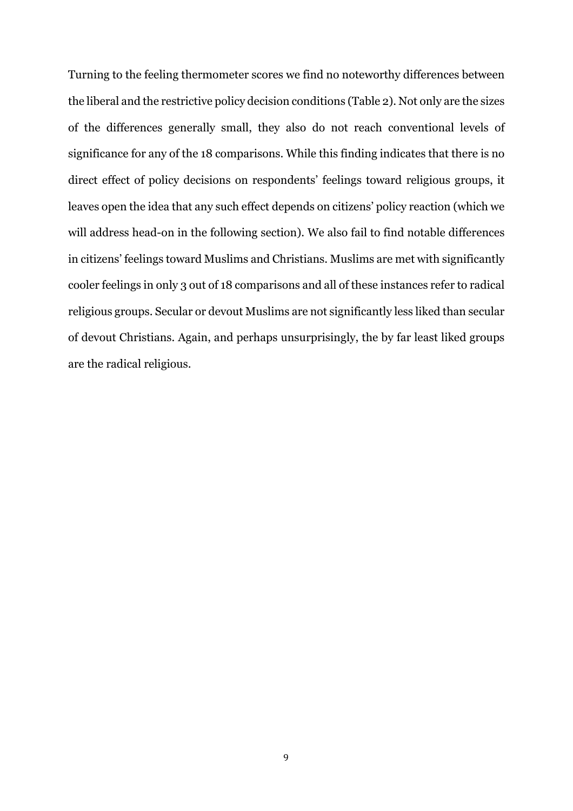Turning to the feeling thermometer scores we find no noteworthy differences between the liberal and the restrictive policy decision conditions (Table 2). Not only are the sizes of the differences generally small, they also do not reach conventional levels of significance for any of the 18 comparisons. While this finding indicates that there is no direct effect of policy decisions on respondents' feelings toward religious groups, it leaves open the idea that any such effect depends on citizens' policy reaction (which we will address head-on in the following section). We also fail to find notable differences in citizens' feelings toward Muslims and Christians. Muslims are met with significantly cooler feelings in only 3 out of 18 comparisons and all of these instances refer to radical religious groups. Secular or devout Muslims are not significantly less liked than secular of devout Christians. Again, and perhaps unsurprisingly, the by far least liked groups are the radical religious.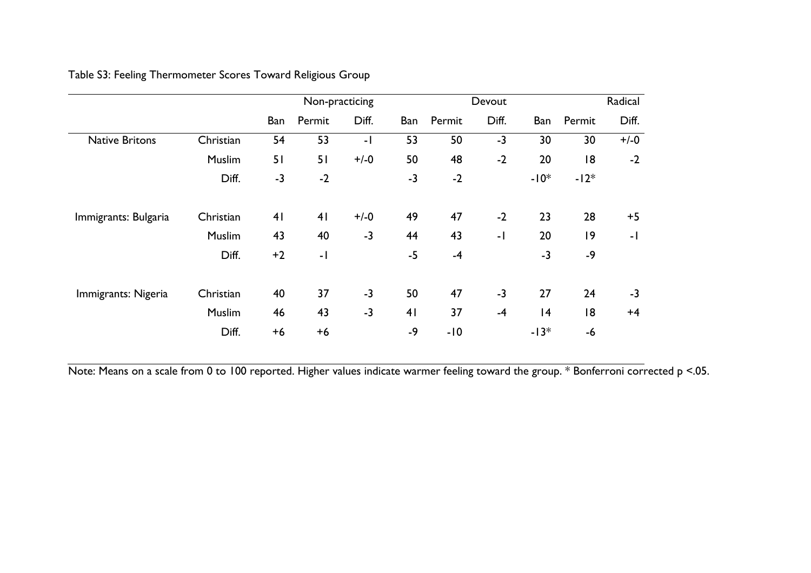## Table S3: Feeling Thermometer Scores Toward Religious Group

|                       |           | Non-practicing |                | Devout |      |        | Radical |        |        |        |
|-----------------------|-----------|----------------|----------------|--------|------|--------|---------|--------|--------|--------|
|                       |           | Ban            | Permit         | Diff.  | Ban  | Permit | Diff.   | Ban    | Permit | Diff.  |
| <b>Native Britons</b> | Christian | 54             | 53             | - 1    | 53   | 50     | $-3$    | 30     | 30     | $+/-0$ |
|                       | Muslim    | 51             | 51             | $+/-0$ | 50   | 48     | $-2$    | 20     | 18     | $-2$   |
|                       | Diff.     | $-3$           | $-2$           |        | $-3$ | $-2$   |         | $-10*$ | $-12*$ |        |
| Immigrants: Bulgaria  | Christian | 41             | 4 <sub>1</sub> | $+/-0$ | 49   | 47     | $-2$    | 23     | 28     | $+5$   |
|                       | Muslim    | 43             | 40             | $-3$   | 44   | 43     | $-1$    | 20     | 9      | -1     |
|                       | Diff.     | $+2$           | $-1$           |        | $-5$ | $-4$   |         | $-3$   | $-9$   |        |
| Immigrants: Nigeria   | Christian | 40             | 37             | $-3$   | 50   | 47     | $-3$    | 27     | 24     | $-3$   |
|                       | Muslim    | 46             | 43             | $-3$   | 41   | 37     | $-4$    | 4      | 18     | $+4$   |
|                       | Diff.     | $+6$           | $+6$           |        | $-9$ | $-10$  |         | $-13*$ | $-6$   |        |

Note: Means on a scale from 0 to 100 reported. Higher values indicate warmer feeling toward the group. \* Bonferroni corrected p <.05.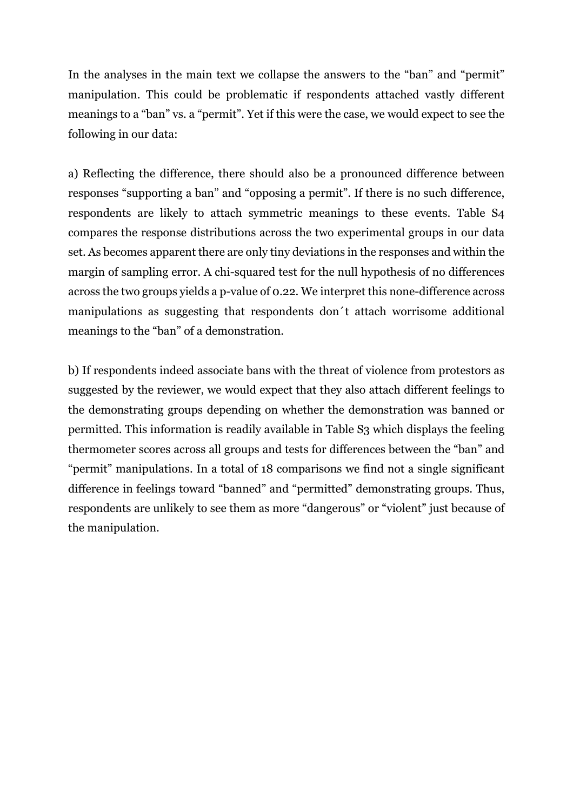In the analyses in the main text we collapse the answers to the "ban" and "permit" manipulation. This could be problematic if respondents attached vastly different meanings to a "ban" vs. a "permit". Yet if this were the case, we would expect to see the following in our data:

a) Reflecting the difference, there should also be a pronounced difference between responses "supporting a ban" and "opposing a permit". If there is no such difference, respondents are likely to attach symmetric meanings to these events. Table S4 compares the response distributions across the two experimental groups in our data set. As becomes apparent there are only tiny deviations in the responses and within the margin of sampling error. A chi-squared test for the null hypothesis of no differences across the two groups yields a p-value of 0.22. We interpret this none-difference across manipulations as suggesting that respondents don´t attach worrisome additional meanings to the "ban" of a demonstration.

b) If respondents indeed associate bans with the threat of violence from protestors as suggested by the reviewer, we would expect that they also attach different feelings to the demonstrating groups depending on whether the demonstration was banned or permitted. This information is readily available in Table S3 which displays the feeling thermometer scores across all groups and tests for differences between the "ban" and "permit" manipulations. In a total of 18 comparisons we find not a single significant difference in feelings toward "banned" and "permitted" demonstrating groups. Thus, respondents are unlikely to see them as more "dangerous" or "violent" just because of the manipulation.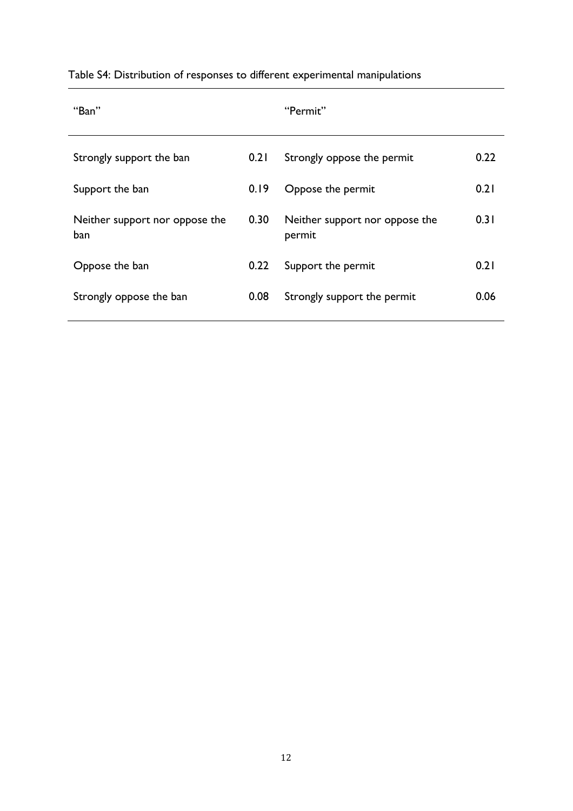| "Ban"                                 |      | "Permit"                                 |      |
|---------------------------------------|------|------------------------------------------|------|
| Strongly support the ban              | 0.21 | Strongly oppose the permit               | 0.22 |
| Support the ban                       | 0.19 | Oppose the permit                        | 0.21 |
| Neither support nor oppose the<br>ban | 0.30 | Neither support nor oppose the<br>permit | 0.31 |
| Oppose the ban                        | 0.22 | Support the permit                       | 0.21 |
| Strongly oppose the ban               | 0.08 | Strongly support the permit              | 0.06 |

# Table S4: Distribution of responses to different experimental manipulations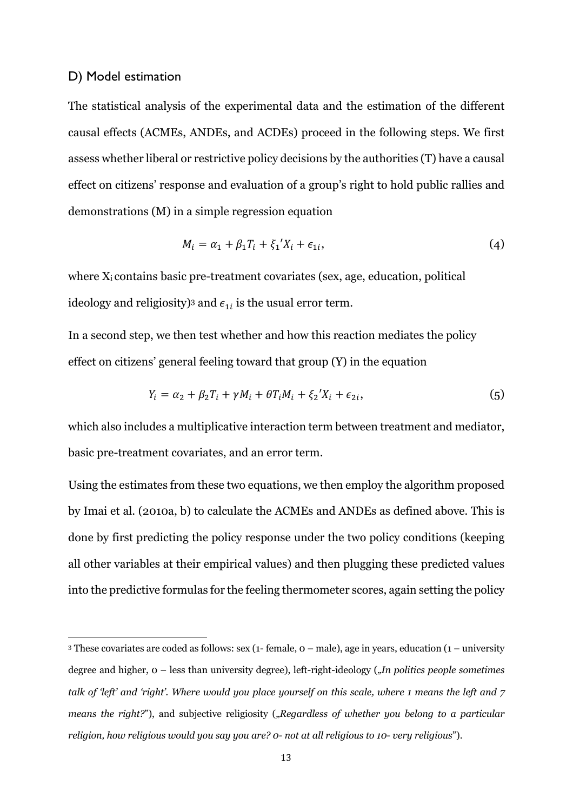### D) Model estimation

The statistical analysis of the experimental data and the estimation of the different causal effects (ACMEs, ANDEs, and ACDEs) proceed in the following steps. We first assess whether liberal or restrictive policy decisions by the authorities (T) have a causal effect on citizens' response and evaluation of a group's right to hold public rallies and demonstrations (M) in a simple regression equation

$$
M_i = \alpha_1 + \beta_1 T_i + \xi_1' X_i + \epsilon_{1i},\tag{4}
$$

where Xi contains basic pre-treatment covariates (sex, age, education, political ideology and religiosity)<sup>3</sup> and  $\epsilon_{1i}$  is the usual error term.

In a second step, we then test whether and how this reaction mediates the policy effect on citizens' general feeling toward that group (Y) in the equation

$$
Y_i = \alpha_2 + \beta_2 T_i + \gamma M_i + \theta T_i M_i + \xi_2' X_i + \epsilon_{2i},\tag{5}
$$

which also includes a multiplicative interaction term between treatment and mediator, basic pre-treatment covariates, and an error term.

Using the estimates from these two equations, we then employ the algorithm proposed by Imai et al. (2010a, b) to calculate the ACMEs and ANDEs as defined above. This is done by first predicting the policy response under the two policy conditions (keeping all other variables at their empirical values) and then plugging these predicted values into the predictive formulas for the feeling thermometer scores, again setting the policy

<sup>3</sup> These covariates are coded as follows: sex (1- female, 0 – male), age in years, education (1 – university degree and higher, 0 – less than university degree), left-right-ideology ("*In politics people sometimes talk of 'left' and 'right'. Where would you place yourself on this scale, where 1 means the left and 7 means the right?"*), and subjective religiosity (*"Regardless of whether you belong to a particular religion, how religious would you say you are? 0- not at all religious to 10- very religious*").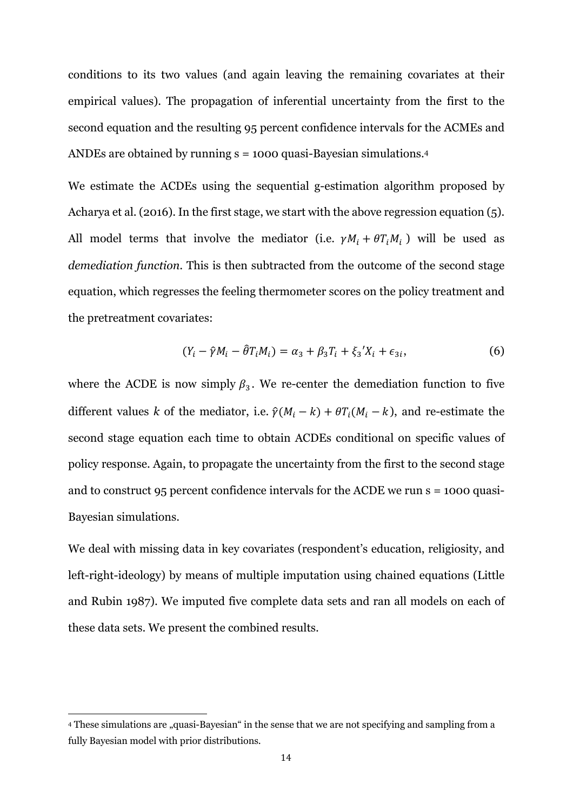conditions to its two values (and again leaving the remaining covariates at their empirical values). The propagation of inferential uncertainty from the first to the second equation and the resulting 95 percent confidence intervals for the ACMEs and ANDEs are obtained by running  $s = 1000$  quasi-Bayesian simulations.<sup>4</sup>

We estimate the ACDEs using the sequential g-estimation algorithm proposed by Acharya et al. (2016). In the first stage, we start with the above regression equation (5). All model terms that involve the mediator (i.e.  $\gamma M_i + \theta T_i M_i$ ) will be used as *demediation function*. This is then subtracted from the outcome of the second stage equation, which regresses the feeling thermometer scores on the policy treatment and the pretreatment covariates:

$$
(Y_i - \hat{\gamma}M_i - \hat{\theta}T_iM_i) = \alpha_3 + \beta_3T_i + \xi_3'X_i + \epsilon_{3i},
$$
 (6)

where the ACDE is now simply  $\beta_3$ . We re-center the demediation function to five different values *k* of the mediator, i.e.  $\hat{\gamma}(M_i - k) + \theta T_i(M_i - k)$ , and re-estimate the second stage equation each time to obtain ACDEs conditional on specific values of policy response. Again, to propagate the uncertainty from the first to the second stage and to construct 95 percent confidence intervals for the ACDE we run s = 1000 quasi-Bayesian simulations.

We deal with missing data in key covariates (respondent's education, religiosity, and left-right-ideology) by means of multiple imputation using chained equations (Little and Rubin 1987). We imputed five complete data sets and ran all models on each of these data sets. We present the combined results.

<sup>&</sup>lt;sup>4</sup> These simulations are "quasi-Bayesian" in the sense that we are not specifying and sampling from a fully Bayesian model with prior distributions.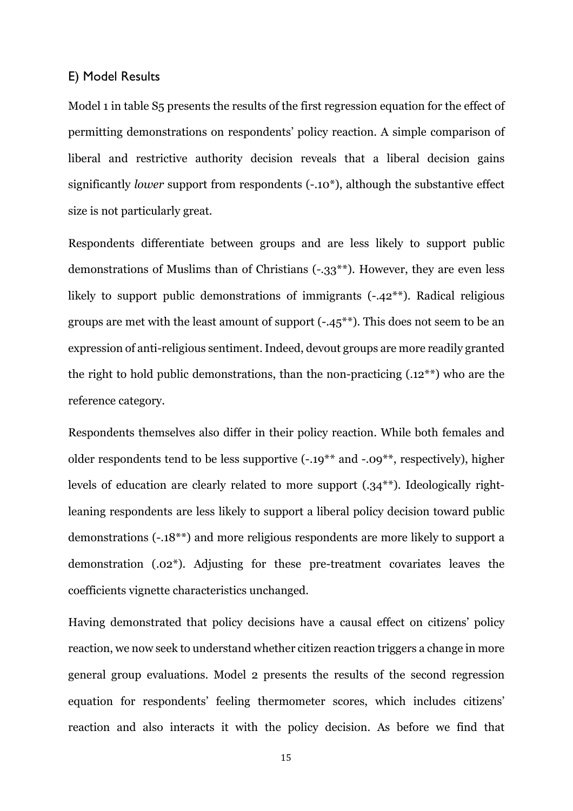### E) Model Results

Model 1 in table S5 presents the results of the first regression equation for the effect of permitting demonstrations on respondents' policy reaction. A simple comparison of liberal and restrictive authority decision reveals that a liberal decision gains significantly *lower* support from respondents (-.10<sup>\*</sup>), although the substantive effect size is not particularly great.

Respondents differentiate between groups and are less likely to support public demonstrations of Muslims than of Christians (*-.*33\*\*). However, they are even less likely to support public demonstrations of immigrants  $(-.42^{**})$ . Radical religious groups are met with the least amount of support (-.45\*\*). This does not seem to be an expression of anti-religious sentiment. Indeed, devout groups are more readily granted the right to hold public demonstrations, than the non-practicing (.12\*\*) who are the reference category.

Respondents themselves also differ in their policy reaction. While both females and older respondents tend to be less supportive (-.19\*\* and -.09\*\*, respectively), higher levels of education are clearly related to more support (.34\*\*). Ideologically rightleaning respondents are less likely to support a liberal policy decision toward public demonstrations (-.18\*\*) and more religious respondents are more likely to support a demonstration (.02\*). Adjusting for these pre-treatment covariates leaves the coefficients vignette characteristics unchanged.

Having demonstrated that policy decisions have a causal effect on citizens' policy reaction, we now seek to understand whether citizen reaction triggers a change in more general group evaluations. Model 2 presents the results of the second regression equation for respondents' feeling thermometer scores, which includes citizens' reaction and also interacts it with the policy decision. As before we find that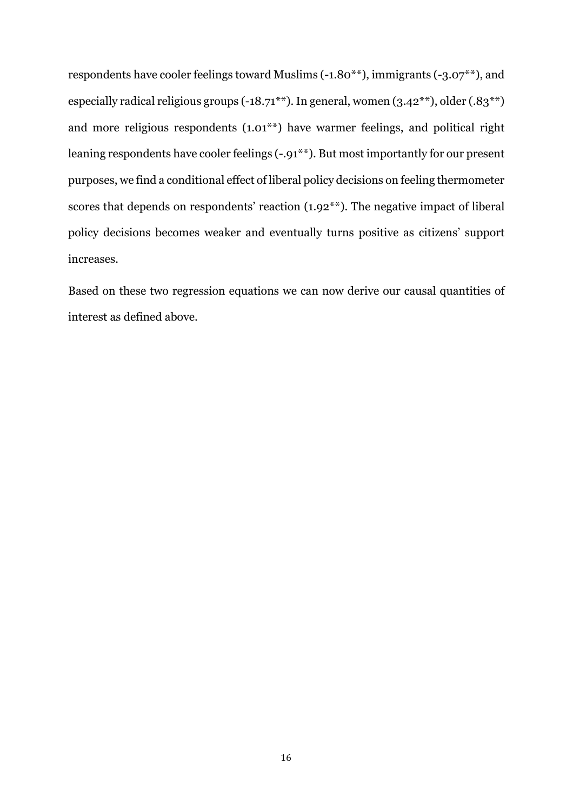respondents have cooler feelings toward Muslims (-1.80\*\*), immigrants (-3.07\*\*), and especially radical religious groups (-18.71\*\*). In general, women (3.42\*\*), older (.83\*\*) and more religious respondents (1.01\*\*) have warmer feelings, and political right leaning respondents have cooler feelings (-.91\*\*). But most importantly for our present purposes, we find a conditional effect of liberal policy decisions on feeling thermometer scores that depends on respondents' reaction (1.92<sup>\*\*</sup>). The negative impact of liberal policy decisions becomes weaker and eventually turns positive as citizens' support increases.

Based on these two regression equations we can now derive our causal quantities of interest as defined above.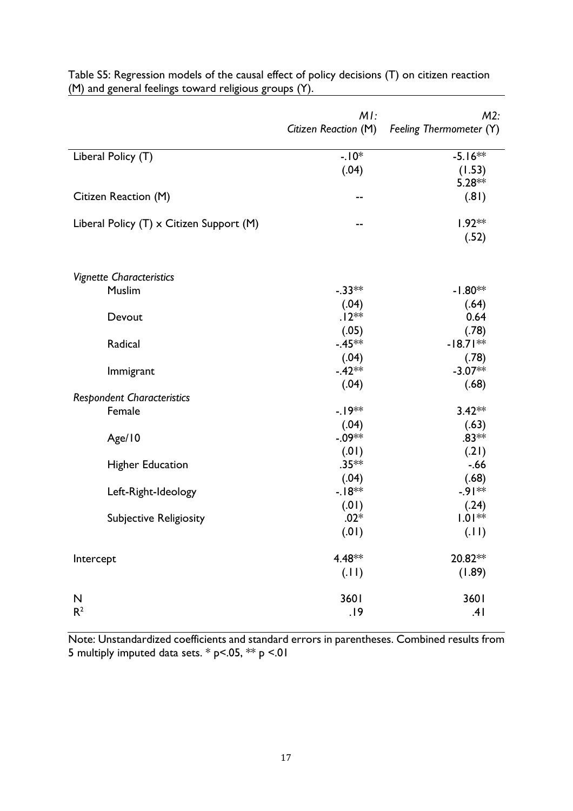|                                           | MI:<br>Citizen Reaction (M) | $M2$ :<br>Feeling Thermometer (Y) |
|-------------------------------------------|-----------------------------|-----------------------------------|
|                                           |                             |                                   |
| Liberal Policy (T)                        | $-.10*$                     | $-5.16**$                         |
|                                           | (.04)                       | (1.53)                            |
|                                           |                             | $5.28**$                          |
| Citizen Reaction (M)                      | --                          | (.81)                             |
| Liberal Policy (T) x Citizen Support (M)  | --                          | $1.92**$                          |
|                                           |                             | (.52)                             |
|                                           |                             |                                   |
| <b>Vignette Characteristics</b><br>Muslim | $-.33**$                    | $-1.80**$                         |
|                                           | (.04)                       |                                   |
| Devout                                    | $.12**$                     | (.64)<br>0.64                     |
|                                           | (.05)                       | (.78)                             |
| Radical                                   | $-.45**$                    | $-18.71**$                        |
|                                           | (.04)                       | (.78)                             |
| Immigrant                                 | $-.42**$                    | $-3.07**$                         |
|                                           | (.04)                       | (.68)                             |
| <b>Respondent Characteristics</b>         |                             |                                   |
| Female                                    | $-19**$                     | $3.42**$                          |
|                                           | (.04)                       | (.63)                             |
| Age/10                                    | $-0.09**$                   | $.83**$                           |
|                                           | (0.01)                      | (.21)                             |
| <b>Higher Education</b>                   | $.35**$                     | $-.66$                            |
|                                           | (.04)                       | (.68)                             |
| Left-Right-Ideology                       | $-18**$                     | $-91**$                           |
|                                           | (0.01)                      | (.24)                             |
| <b>Subjective Religiosity</b>             | $.02*$                      | $1.01**$                          |
|                                           | (.01)                       | (.11)                             |
| Intercept                                 | 4.48**                      | 20.82 **                          |
|                                           | (11)                        | (1.89)                            |
| $\mathsf{N}$                              | 3601                        | 3601                              |
| R <sup>2</sup>                            | .19                         | .41                               |

Table S5: Regression models of the causal effect of policy decisions (T) on citizen reaction (M) and general feelings toward religious groups (Y).

Note: Unstandardized coefficients and standard errors in parentheses. Combined results from 5 multiply imputed data sets.  $*$  p<.05,  $**$  p <.01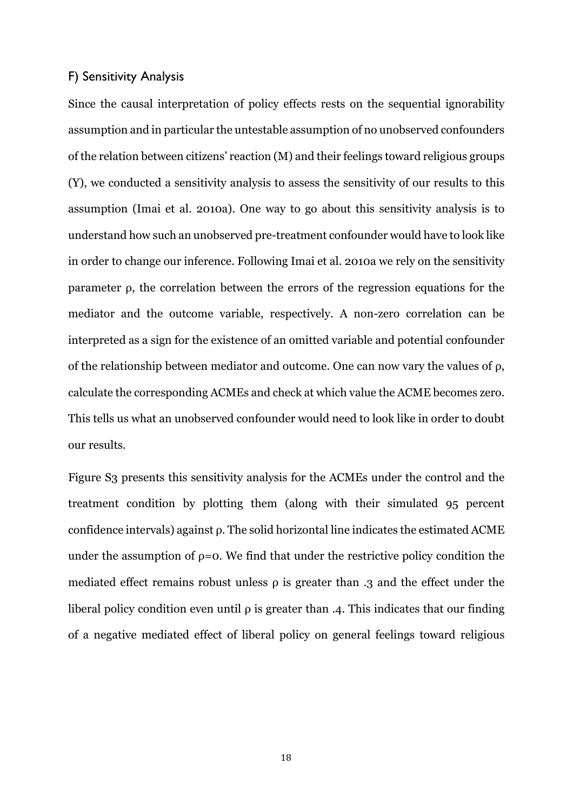### F) Sensitivity Analysis

Since the causal interpretation of policy effects rests on the sequential ignorability assumption and in particular the untestable assumption of no unobserved confounders of the relation between citizens' reaction (M) and their feelings toward religious groups (Y), we conducted a sensitivity analysis to assess the sensitivity of our results to this assumption (Imai et al. 2010a). One way to go about this sensitivity analysis is to understand how such an unobserved pre-treatment confounder would have to look like in order to change our inference. Following Imai et al. 2010a we rely on the sensitivity parameter ρ, the correlation between the errors of the regression equations for the mediator and the outcome variable, respectively. A non-zero correlation can be interpreted as a sign for the existence of an omitted variable and potential confounder of the relationship between mediator and outcome. One can now vary the values of ρ, calculate the corresponding ACMEs and check at which value the ACME becomes zero. This tells us what an unobserved confounder would need to look like in order to doubt our results.

Figure S3 presents this sensitivity analysis for the ACMEs under the control and the treatment condition by plotting them (along with their simulated 95 percent confidence intervals) against ρ. The solid horizontal line indicates the estimated ACME under the assumption of  $\rho = 0$ . We find that under the restrictive policy condition the mediated effect remains robust unless  $\rho$  is greater than .3 and the effect under the liberal policy condition even until  $\rho$  is greater than .4. This indicates that our finding of a negative mediated effect of liberal policy on general feelings toward religious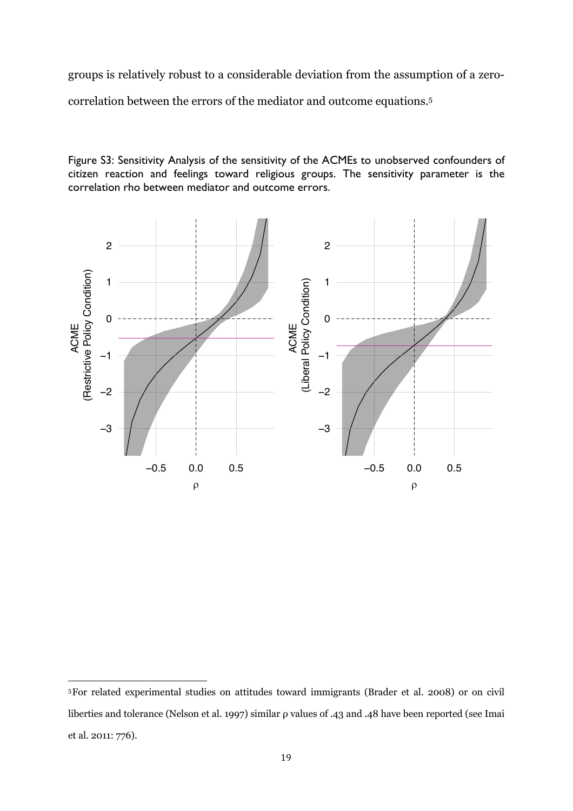groups is relatively robust to a considerable deviation from the assumption of a zerocorrelation between the errors of the mediator and outcome equations.5

Figure S3: Sensitivity Analysis of the sensitivity of the ACMEs to unobserved confounders of citizen reaction and feelings toward religious groups. The sensitivity parameter is the correlation rho between mediator and outcome errors.



<sup>5</sup>For related experimental studies on attitudes toward immigrants (Brader et al. 2008) or on civil liberties and tolerance (Nelson et al. 1997) similar ρ values of .43 and .48 have been reported (see Imai et al. 2011: 776).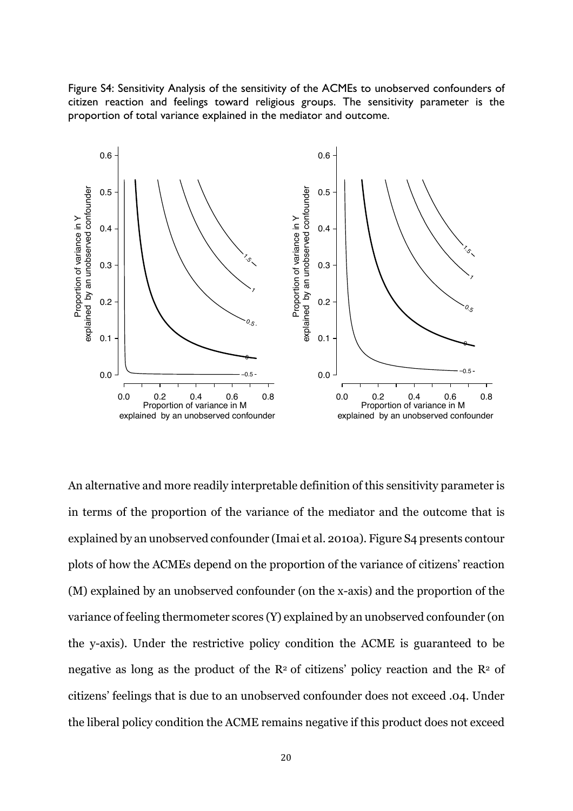Figure S4: Sensitivity Analysis of the sensitivity of the ACMEs to unobserved confounders of citizen reaction and feelings toward religious groups. The sensitivity parameter is the proportion of total variance explained in the mediator and outcome.



An alternative and more readily interpretable definition of this sensitivity parameter is in terms of the proportion of the variance of the mediator and the outcome that is explained by an unobserved confounder (Imai et al. 2010a). Figure S4 presents contour plots of how the ACMEs depend on the proportion of the variance of citizens' reaction (M) explained by an unobserved confounder (on the x-axis) and the proportion of the variance of feeling thermometer scores (Y) explained by an unobserved confounder (on the y-axis). Under the restrictive policy condition the ACME is guaranteed to be negative as long as the product of the  $\mathbb{R}^2$  of citizens' policy reaction and the  $\mathbb{R}^2$  of citizens' feelings that is due to an unobserved confounder does not exceed .04. Under the liberal policy condition the ACME remains negative if this product does not exceed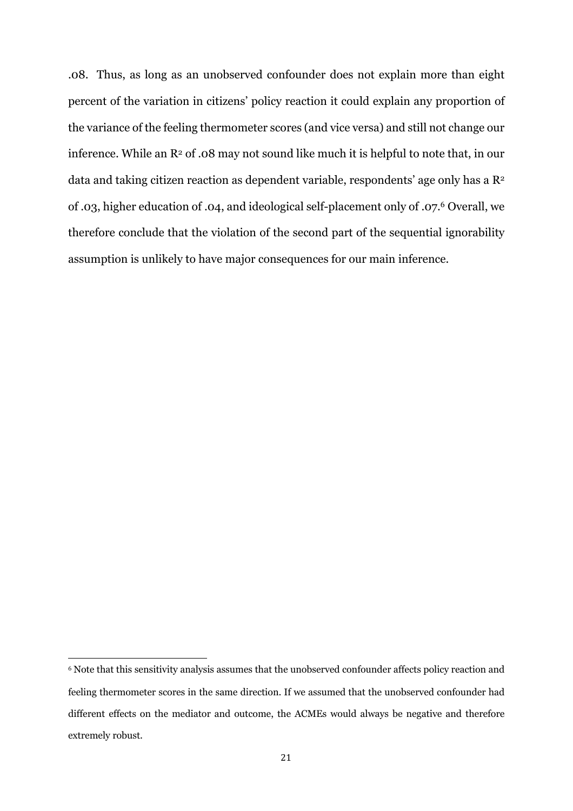.08. Thus, as long as an unobserved confounder does not explain more than eight percent of the variation in citizens' policy reaction it could explain any proportion of the variance of the feeling thermometer scores (and vice versa) and still not change our inference. While an  $\mathbb{R}^2$  of .08 may not sound like much it is helpful to note that, in our data and taking citizen reaction as dependent variable, respondents' age only has a R2 of .03, higher education of .04, and ideological self-placement only of .07.6 Overall, we therefore conclude that the violation of the second part of the sequential ignorability assumption is unlikely to have major consequences for our main inference.

<sup>6</sup> Note that this sensitivity analysis assumes that the unobserved confounder affects policy reaction and feeling thermometer scores in the same direction. If we assumed that the unobserved confounder had different effects on the mediator and outcome, the ACMEs would always be negative and therefore extremely robust.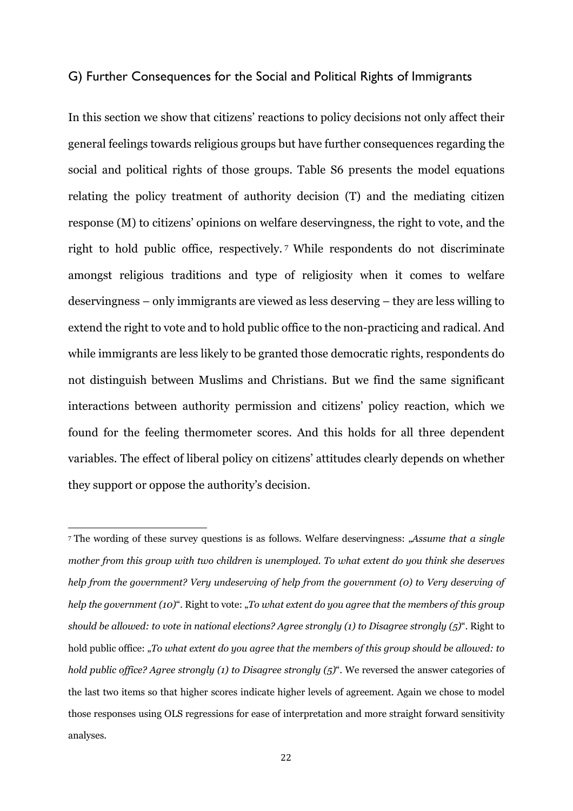### G) Further Consequences for the Social and Political Rights of Immigrants

In this section we show that citizens' reactions to policy decisions not only affect their general feelings towards religious groups but have further consequences regarding the social and political rights of those groups. Table S6 presents the model equations relating the policy treatment of authority decision (T) and the mediating citizen response (M) to citizens' opinions on welfare deservingness, the right to vote, and the right to hold public office, respectively. <sup>7</sup> While respondents do not discriminate amongst religious traditions and type of religiosity when it comes to welfare deservingness – only immigrants are viewed as less deserving – they are less willing to extend the right to vote and to hold public office to the non-practicing and radical. And while immigrants are less likely to be granted those democratic rights, respondents do not distinguish between Muslims and Christians. But we find the same significant interactions between authority permission and citizens' policy reaction, which we found for the feeling thermometer scores. And this holds for all three dependent variables. The effect of liberal policy on citizens' attitudes clearly depends on whether they support or oppose the authority's decision.

<sup>7</sup> The wording of these survey questions is as follows. Welfare deservingness: "*Assume that a single mother from this group with two children is unemployed. To what extent do you think she deserves help from the government? Very undeserving of help from the government (0) to Very deserving of help the government (10)*". Right to vote: "*To what extent do you agree that the members of this group should be allowed: to vote in national elections? Agree strongly (1) to Disagree strongly (5)*". Right to hold public office: "*To what extent do you agree that the members of this group should be allowed: to hold public office? Agree strongly (1) to Disagree strongly (5)*". We reversed the answer categories of the last two items so that higher scores indicate higher levels of agreement. Again we chose to model those responses using OLS regressions for ease of interpretation and more straight forward sensitivity analyses.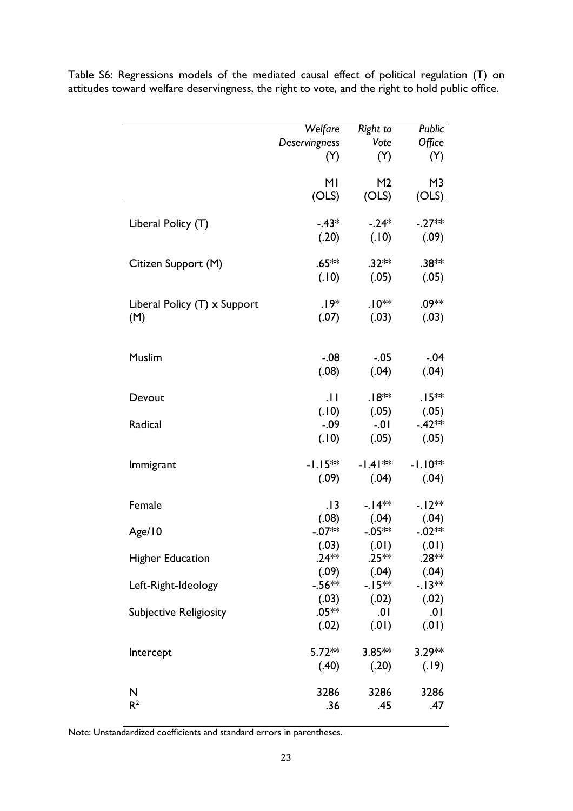|                                     | Welfare          | Right to          | Public           |
|-------------------------------------|------------------|-------------------|------------------|
|                                     | Deservingness    | Vote              | Office           |
|                                     | (Y)              | (Y)               | (Y)              |
|                                     |                  |                   |                  |
|                                     | MI               | M <sub>2</sub>    | M <sub>3</sub>   |
|                                     | (OLS)            | (OLS)             | (OLS)            |
|                                     |                  |                   |                  |
| Liberal Policy (T)                  | $-.43*$          | $-.24*$           | $-.27**$         |
|                                     | (.20)            | (.10)             | (.09)            |
|                                     |                  |                   |                  |
| Citizen Support (M)                 | $.65**$          | $.32**$           | .38**            |
|                                     | (.10)            | (.05)             | (.05)            |
|                                     |                  |                   |                  |
| Liberal Policy $(T) \times$ Support | .19*             | $.10**$           | .09**            |
| (M)                                 | (.07)            | (.03)             | (.03)            |
|                                     |                  |                   |                  |
|                                     |                  |                   |                  |
| Muslim                              | $-.08$           | $-.05$            | $-.04$           |
|                                     | (.08)            | (.04)             | (.04)            |
|                                     |                  |                   |                  |
| Devout                              | $  \cdot  $      | $.18**$           | $.15***$         |
|                                     | (.10)            | (.05)             | (.05)            |
| Radical                             | $-0.09$          | $-.01$            | $-42**$          |
|                                     | (.10)            | (.05)             | (.05)            |
|                                     |                  |                   |                  |
| Immigrant                           | $-1.15**$        | $-1.41**$         | $-1.10**$        |
|                                     | (.09)            | (.04)             | (.04)            |
|                                     |                  |                   |                  |
| Female                              | .13              | $-14**$           | $-12**$          |
|                                     | (.08)            | (.04)             | (.04)            |
| Age/10                              | $-.07**$         | $-0.05**$         | $-.02**$         |
|                                     | (.03)<br>$.24**$ | (0.01)<br>$.25**$ | (0.01)           |
| <b>Higher Education</b>             |                  |                   | .28 **           |
|                                     | (.09)<br>-.56**  | (.04)<br>-. I 5** | (.04)<br>$-13**$ |
| Left-Right-Ideology                 |                  |                   |                  |
|                                     | (.03)<br>$.05**$ | (.02)<br>.01      | (.02)<br>.01     |
| <b>Subjective Religiosity</b>       |                  |                   | (0.01)           |
|                                     | (.02)            | (0.01)            |                  |
|                                     | $5.72**$         | $3.85***$         | $3.29**$         |
| Intercept                           | (.40)            | (.20)             | (.19)            |
|                                     |                  |                   |                  |
| N                                   | 3286             | 3286              | 3286             |
| R <sup>2</sup>                      | .36              | .45               | .47              |
|                                     |                  |                   |                  |

Table S6: Regressions models of the mediated causal effect of political regulation (T) on attitudes toward welfare deservingness, the right to vote, and the right to hold public office.

Note: Unstandardized coefficients and standard errors in parentheses.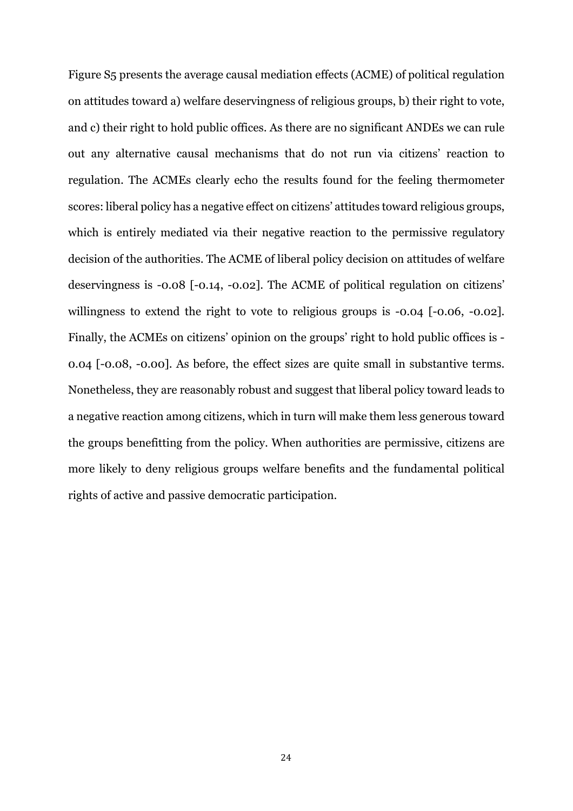Figure S5 presents the average causal mediation effects (ACME) of political regulation on attitudes toward a) welfare deservingness of religious groups, b) their right to vote, and c) their right to hold public offices. As there are no significant ANDEs we can rule out any alternative causal mechanisms that do not run via citizens' reaction to regulation. The ACMEs clearly echo the results found for the feeling thermometer scores: liberal policy has a negative effect on citizens' attitudes toward religious groups, which is entirely mediated via their negative reaction to the permissive regulatory decision of the authorities. The ACME of liberal policy decision on attitudes of welfare deservingness is -0.08 [-0.14, -0.02]. The ACME of political regulation on citizens' willingness to extend the right to vote to religious groups is  $-0.04$  [ $-0.06$ ,  $-0.02$ ]. Finally, the ACMEs on citizens' opinion on the groups' right to hold public offices is - 0.04 [-0.08, -0.00]. As before, the effect sizes are quite small in substantive terms. Nonetheless, they are reasonably robust and suggest that liberal policy toward leads to a negative reaction among citizens, which in turn will make them less generous toward the groups benefitting from the policy. When authorities are permissive, citizens are more likely to deny religious groups welfare benefits and the fundamental political rights of active and passive democratic participation.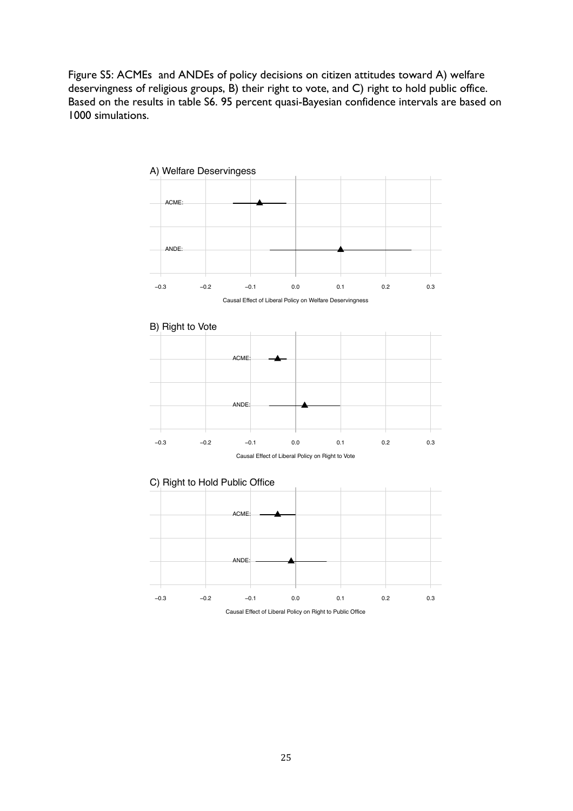Figure S5: ACMEs and ANDEs of policy decisions on citizen attitudes toward A) welfare deservingness of religious groups, B) their right to vote, and C) right to hold public office. Based on the results in table S6. 95 percent quasi-Bayesian confidence intervals are based on 1000 simulations.



Causal Effect of Liberal Policy on Right to Public Office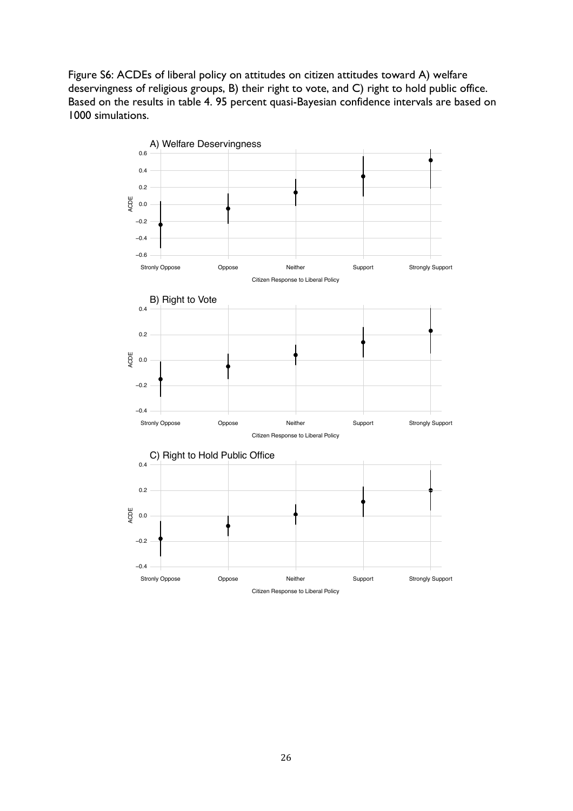Figure S6: ACDEs of liberal policy on attitudes on citizen attitudes toward A) welfare deservingness of religious groups, B) their right to vote, and C) right to hold public office. Based on the results in table 4. 95 percent quasi-Bayesian confidence intervals are based on 1000 simulations.